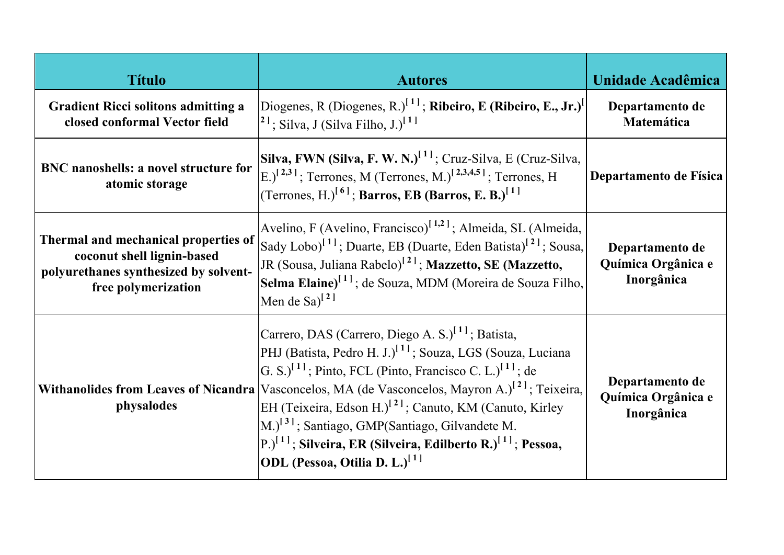| <b>Título</b>                                                                                                                      | <b>Autores</b>                                                                                                                                                                                                                                                                                                                                                                                                                                                                                                                                                                                | Unidade Acadêmica                                   |
|------------------------------------------------------------------------------------------------------------------------------------|-----------------------------------------------------------------------------------------------------------------------------------------------------------------------------------------------------------------------------------------------------------------------------------------------------------------------------------------------------------------------------------------------------------------------------------------------------------------------------------------------------------------------------------------------------------------------------------------------|-----------------------------------------------------|
| <b>Gradient Ricci solitons admitting a</b><br>closed conformal Vector field                                                        | Diogenes, R (Diogenes, R.) <sup>[11]</sup> ; Ribeiro, E (Ribeiro, E., Jr.) <sup>[11]</sup><br>$\vert^{2}$ !; Silva, J (Silva Filho, J.) <sup>[1]</sup>                                                                                                                                                                                                                                                                                                                                                                                                                                        | Departamento de<br>Matemática                       |
| BNC nanoshells: a novel structure for<br>atomic storage                                                                            | Silva, FWN (Silva, F. W. N.) <sup>[1]</sup> ; Cruz-Silva, E (Cruz-Silva,<br>$\left[{\rm E}\right]^{[2,3]}$ ; Terrones, M (Terrones, M.) <sup>[2,3,4,5]</sup> ; Terrones, H<br>(Terrones, H.) <sup>[6]</sup> ; Barros, EB (Barros, E. B.) <sup>[1]</sup>                                                                                                                                                                                                                                                                                                                                       | Departamento de Física                              |
| Thermal and mechanical properties of<br>coconut shell lignin-based<br>polyurethanes synthesized by solvent-<br>free polymerization | Avelino, F (Avelino, Francisco) <sup>[1,2]</sup> ; Almeida, SL (Almeida,<br>Sady Lobo) <sup>[1]</sup> ; Duarte, EB (Duarte, Eden Batista) <sup>[2]</sup> ; Sousa,<br>JR (Sousa, Juliana Rabelo) <sup>[2]</sup> ; Mazzetto, SE (Mazzetto,<br>Selma Elaine) <sup>[1]</sup> ; de Souza, MDM (Moreira de Souza Filho,<br>Men de Sa $\vert^{2}$                                                                                                                                                                                                                                                    | Departamento de<br>Química Orgânica e<br>Inorgânica |
| <b>Withanolides from Leaves of Nicandra</b><br>physalodes                                                                          | Carrero, DAS (Carrero, Diego A. S.) <sup>[1]</sup> ; Batista,<br>PHJ (Batista, Pedro H. J.) <sup>[1]</sup> ; Souza, LGS (Souza, Luciana<br>$[G, S.]$ <sup>[1]</sup> ; Pinto, FCL (Pinto, Francisco C. L.) <sup>[1]</sup> ; de<br>Vasconcelos, MA (de Vasconcelos, Mayron A.) <sup>[2]</sup> ; Teixeira,<br>EH (Teixeira, Edson H.) <sup>[2]</sup> ; Canuto, KM (Canuto, Kirley<br>M.) <sup>[3]</sup> ; Santiago, GMP(Santiago, Gilvandete M.<br>$\left  P. \right\rangle^{[1]}$ ; Silveira, ER (Silveira, Edilberto R.) <sup>[1]</sup> ; Pessoa,<br>ODL (Pessoa, Otilia D. L.) <sup>[1]</sup> | Departamento de<br>Química Orgânica e<br>Inorgânica |